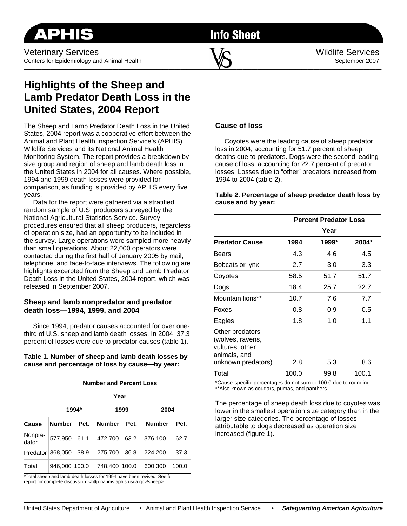Veterinary Services  $\mathbf{V}$   $\Omega$ Centers for Epidemiology and Animal Health September 2007  $\sim$  . The contribution of the contribution of  $\sim$  . The contribution of the contribution of  $\sim$ 

**Info Sheet** 

# **Highlights of the Sheep and Lamb Predator Death Loss in the United States, 2004 Report**

The Sheep and Lamb Predator Death Loss in the United States, 2004 report was a cooperative effort between the Animal and Plant Health Inspection Service's (APHIS) Wildlife Services and its National Animal Health Monitoring System. The report provides a breakdown by size group and region of sheep and lamb death loss in the United States in 2004 for all causes. Where possible, 1994 and 1999 death losses were provided for comparison, as funding is provided by APHIS every five years.

 Data for the report were gathered via a stratified random sample of U.S. producers surveyed by the National Agricultural Statistics Service. Survey procedures ensured that all sheep producers, regardless of operation size, had an opportunity to be included in the survey. Large operations were sampled more heavily than small operations. About 22,000 operators were contacted during the first half of January 2005 by mail, telephone, and face-to-face interviews. The following are highlights excerpted from the Sheep and Lamb Predator Death Loss in the United States, 2004 report, which was released in September 2007.

## **Sheep and lamb nonpredator and predator death loss—1994, 1999, and 2004**

 Since 1994, predator causes accounted for over onethird of U.S. sheep and lamb death losses. In 2004, 37.3 percent of losses were due to predator causes (table 1).

**Table 1. Number of sheep and lamb death losses by cause and percentage of loss by cause—by year:** 

|                  | <b>Number and Percent Loss</b> |      |               |      |               |       |  |
|------------------|--------------------------------|------|---------------|------|---------------|-------|--|
|                  | Year                           |      |               |      |               |       |  |
|                  | 1994*                          |      | 1999          |      | 2004          |       |  |
| Cause            | <b>Number</b>                  | Pct. | <b>Number</b> | Pct. | <b>Number</b> | Pct.  |  |
| Nonpre-<br>dator | 577,950 61.1                   |      | 472.700       | 63.2 | 376.100       | 62.7  |  |
|                  | Predator 368,050               | 38.9 | 275.700       | 36.8 | 224,200       | 37.3  |  |
| Total            | 946,000 100.0                  |      | 748.400 100.0 |      | 600.300       | 100.0 |  |

\*Total sheep and lamb death losses for 1994 have been revised. See full report for complete discussion: <http:nahms.aphis.usda.gov/sheep>

## **Cause of loss**

 Coyotes were the leading cause of sheep predator loss in 2004, accounting for 51.7 percent of sheep deaths due to predators. Dogs were the second leading cause of loss, accounting for 22.7 percent of predator losses. Losses due to "other" predators increased from 1994 to 2004 (table 2).

### **Table 2. Percentage of sheep predator death loss by cause and by year:**

|                                                                                              | <b>Percent Predator Loss</b> |       |       |  |  |
|----------------------------------------------------------------------------------------------|------------------------------|-------|-------|--|--|
|                                                                                              |                              | Year  |       |  |  |
| <b>Predator Cause</b>                                                                        | 1994                         | 1999* | 2004* |  |  |
| Bears                                                                                        | 4.3                          | 4.6   | 4.5   |  |  |
| Bobcats or lynx                                                                              | 2.7                          | 3.0   | 3.3   |  |  |
| Coyotes                                                                                      | 58.5                         | 51.7  | 51.7  |  |  |
| Dogs                                                                                         | 18.4                         | 25.7  | 22.7  |  |  |
| Mountain lions**                                                                             | 10.7                         | 7.6   | 7.7   |  |  |
| Foxes                                                                                        | 0.8                          | 0.9   | 0.5   |  |  |
| Eagles                                                                                       | 1.8                          | 1.0   | 1.1   |  |  |
| Other predators<br>(wolves, ravens,<br>vultures, other<br>animals, and<br>unknown predators) | 2.8                          | 5.3   | 8.6   |  |  |
| Total                                                                                        | 100.0                        | 99.8  | 100.1 |  |  |

\*Cause-specific percentages do not sum to 100.0 due to rounding. \*\*Also known as cougars, pumas, and panthers.

The percentage of sheep death loss due to coyotes was lower in the smallest operation size category than in the larger size categories. The percentage of losses attributable to dogs decreased as operation size increased (figure 1).